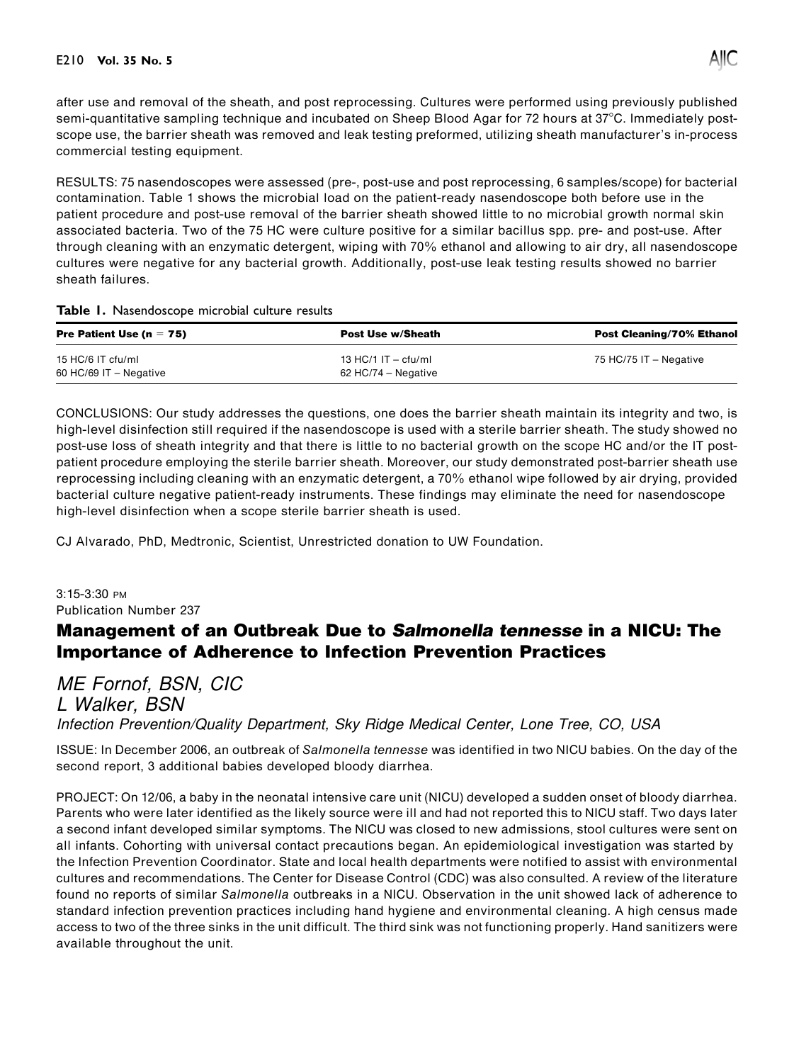

after use and removal of the sheath, and post reprocessing. Cultures were performed using previously published semi-quantitative sampling technique and incubated on Sheep Blood Agar for 72 hours at 37°C. Immediately postscope use, the barrier sheath was removed and leak testing preformed, utilizing sheath manufacturer's in-process commercial testing equipment.

RESULTS: 75 nasendoscopes were assessed (pre-, post-use and post reprocessing, 6 samples/scope) for bacterial contamination. Table 1 shows the microbial load on the patient-ready nasendoscope both before use in the patient procedure and post-use removal of the barrier sheath showed little to no microbial growth normal skin associated bacteria. Two of the 75 HC were culture positive for a similar bacillus spp. pre- and post-use. After through cleaning with an enzymatic detergent, wiping with 70% ethanol and allowing to air dry, all nasendoscope cultures were negative for any bacterial growth. Additionally, post-use leak testing results showed no barrier sheath failures.

## Table 1. Nasendoscope microbial culture results

| <b>Pre Patient Use (n = 75)</b> | <b>Post Use w/Sheath</b> | <b>Post Cleaning/70% Ethanol</b> |
|---------------------------------|--------------------------|----------------------------------|
| 15 HC/6 IT cfu/ml               | 13 HC/1 IT $-$ cfu/ml    | 75 HC/75 IT - Negative           |
| 60 HC/69 IT $-$ Negative        | 62 HC/74 – Negative      |                                  |

CONCLUSIONS: Our study addresses the questions, one does the barrier sheath maintain its integrity and two, is high-level disinfection still required if the nasendoscope is used with a sterile barrier sheath. The study showed no post-use loss of sheath integrity and that there is little to no bacterial growth on the scope HC and/or the IT postpatient procedure employing the sterile barrier sheath. Moreover, our study demonstrated post-barrier sheath use reprocessing including cleaning with an enzymatic detergent, a 70% ethanol wipe followed by air drying, provided bacterial culture negative patient-ready instruments. These findings may eliminate the need for nasendoscope high-level disinfection when a scope sterile barrier sheath is used.

CJ Alvarado, PhD, Medtronic, Scientist, Unrestricted donation to UW Foundation.

3:15-3:30 PM Publication Number 237

## Management of an Outbreak Due to Salmonella tennesse in a NICU: The Importance of Adherence to Infection Prevention Practices

## ME Fornof, BSN, CIC L Walker, BSN

Infection Prevention/Quality Department, Sky Ridge Medical Center, Lone Tree, CO, USA

ISSUE: In December 2006, an outbreak of Salmonella tennesse was identified in two NICU babies. On the day of the second report, 3 additional babies developed bloody diarrhea.

PROJECT: On 12/06, a baby in the neonatal intensive care unit (NICU) developed a sudden onset of bloody diarrhea. Parents who were later identified as the likely source were ill and had not reported this to NICU staff. Two days later a second infant developed similar symptoms. The NICU was closed to new admissions, stool cultures were sent on all infants. Cohorting with universal contact precautions began. An epidemiological investigation was started by the Infection Prevention Coordinator. State and local health departments were notified to assist with environmental cultures and recommendations. The Center for Disease Control (CDC) was also consulted. A review of the literature found no reports of similar Salmonella outbreaks in a NICU. Observation in the unit showed lack of adherence to standard infection prevention practices including hand hygiene and environmental cleaning. A high census made access to two of the three sinks in the unit difficult. The third sink was not functioning properly. Hand sanitizers were available throughout the unit.